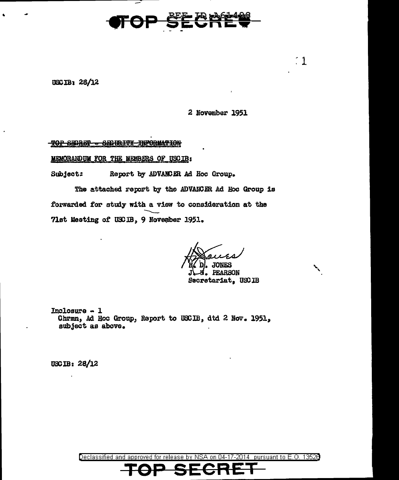

USC IB: 28/12

2 November 1951

 $~1~$ 

### TOP SECRET = SECURITY INFORMATION

MEMORANDUM FOR THE MEMBERS OF USCIB:

Subject: Report by ADVANCER Ad Hoc Group.

The attached report by the ADVAIXER Ad Hoc Group is forwarded for study with a view to consideration at the 71st Meeting of USCIB, 9 November 1951.

 $H$  souls i>. JOliES

**PEARSON** Secretariat, USCIB

Inclosure - 1 Chrmn, Ad Hoc Group, Report to USCIB, dtd 2 Nov. 1951, subject as above.

USC IB: 28/12

Declassified and approved for release by NSA on 04-17-2014 pursuant to E.O. 1352B **TOP SECRET**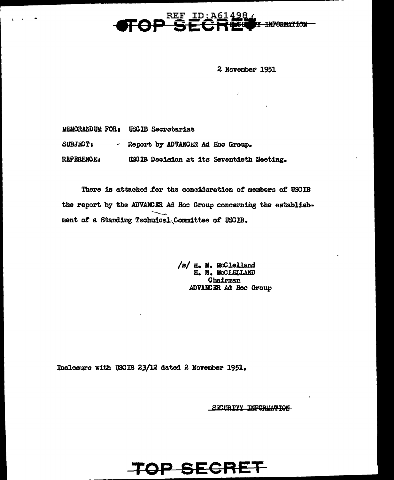#### 498 **REF THE INFORMATION**

2 November 1951

T.

MEMORANDUM FOR: USCIB Secretariat

SUBJECT: - Report by ADVANCER Ad Hoc Group.

REFERENCE: USCIB Decision at its Seventieth Meeting.

There is attached for the consideration of members of USCIB the report by the ADVANCER Ad Hoc Group concerning the establishment of a Standing Technical Committee of USCIB.

**TOP SECRET** 

/s/ H. M. McClelland H. M. MCCLELLAND Chairman ADVANCER Ad Hoc Group

Inclosure with USCIB 23/12 dated 2 November 1951.

SECIE TTY INFORMATION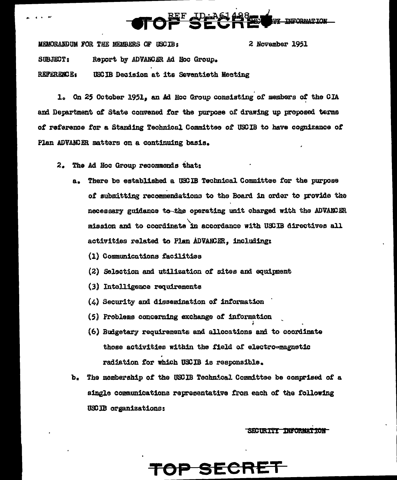

MEMORANDUM FOR THE MEMBERS OF USCIB: 2 November 1951 SUBJECT: Report by ADVANCER Ad Hoc Group. **REFERENCE:** USCIB Decision at its Seventieth Meeting

1. On 25 October 1951, an Ad Hoc Group consisting of members of the CIA and Department of State convened for the purpose of drawing up proposed terms of reference for a Standing Technical Committee of USCIB to have cognizance of Plan ADVANCER matters on a continuing basis.

- 2. The Ad Hoc Group recommends that:
	- There be established a USCIB Technical Committee for the purpose a. of submitting recommendations to the Board in order to provide the necessary guidance to the operating unit charged with the ADVANCER mission and to coordinate in accordance with USCIB directives all activities related to Plan ADVANCER. including:
		- (1) Communications facilities
		- (2) Selection and utilization of sites and equipment
		- (3) Intelligence requirements
		- $(\textit{4})$  Security and dissemination of information
		- (5) Problems concerning exchange of information
		- (6) Budgetary requirements and allocations and to coordinate those activities within the field of electro-magnetic radiation for which USCIB is responsible.
	- b. The membership of the USCIB Technical Committee be comprised of a single communications representative from each of the following USCIB organizations:

SECURITY INFORMATION

# OP SECRET